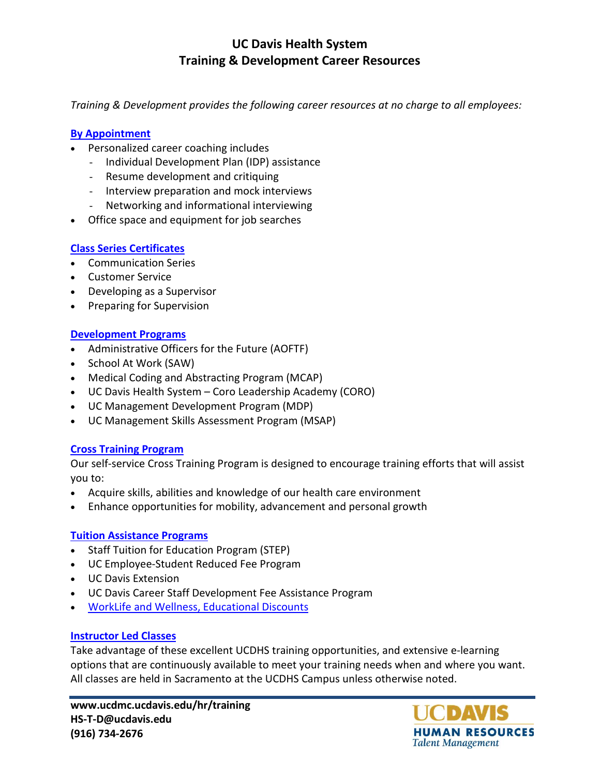# **UC Davis Health System Training & Development Career Resources**

*Training & Development provides the following career resources at no charge to all employees:* 

#### **[By Appointment](mailto:HS-T-D@ucdavis.edu?subject=Request%20for%20Career%20Development%20Information%20or%20Appointment)**

- Personalized career coaching includes
	- Individual Development Plan (IDP) assistance
	- Resume development and critiquing
	- Interview preparation and mock interviews
	- Networking and informational interviewing
- Office space and equipment for job searches

### **[Class Series](http://www.ucdmc.ucdavis.edu/hr/training/catalog.html) Certificates**

- Communication Series
- Customer Service
- Developing as a Supervisor
- Preparing for Supervision

#### **[Development Programs](http://www.ucdmc.ucdavis.edu/hr/training/succession_planning.html)**

- Administrative Officers for the Future (AOFTF)
- School At Work (SAW)
- Medical Coding and Abstracting Program (MCAP)
- UC Davis Health System Coro Leadership Academy (CORO)
- UC Management Development Program (MDP)
- UC Management Skills Assessment Program (MSAP)

### **[Cross Training Program](http://www.ucdmc.ucdavis.edu/hr/training/cross_training.html)**

Our self-service Cross Training Program is designed to encourage training efforts that will assist you to:

- Acquire skills, abilities and knowledge of our health care environment
- Enhance opportunities for mobility, advancement and personal growth

#### **[Tuition Assistance Programs](http://www.ucdmc.ucdavis.edu/hr/training/tuition.html)**

- Staff Tuition for Education Program (STEP)
- UC Employee-Student Reduced Fee Program
- UC Davis Extension
- UC Davis Career Staff Development Fee Assistance Program
- [WorkLife and Wellness, Educational Discounts](http://www.ucdmc.ucdavis.edu/hr/wellness/discounts.html)

### **[Instructor Led Classes](http://lms.ucdavis.edu)**

Take advantage of these excellent UCDHS training opportunities, and extensive e-learning options that are continuously available to meet your training needs when and where you want. All classes are held in Sacramento at the UCDHS Campus unless otherwise noted.

**www.ucdmc.ucdavis.edu/hr/training HS-T-D@ucdavis.edu (916) 734-2676**